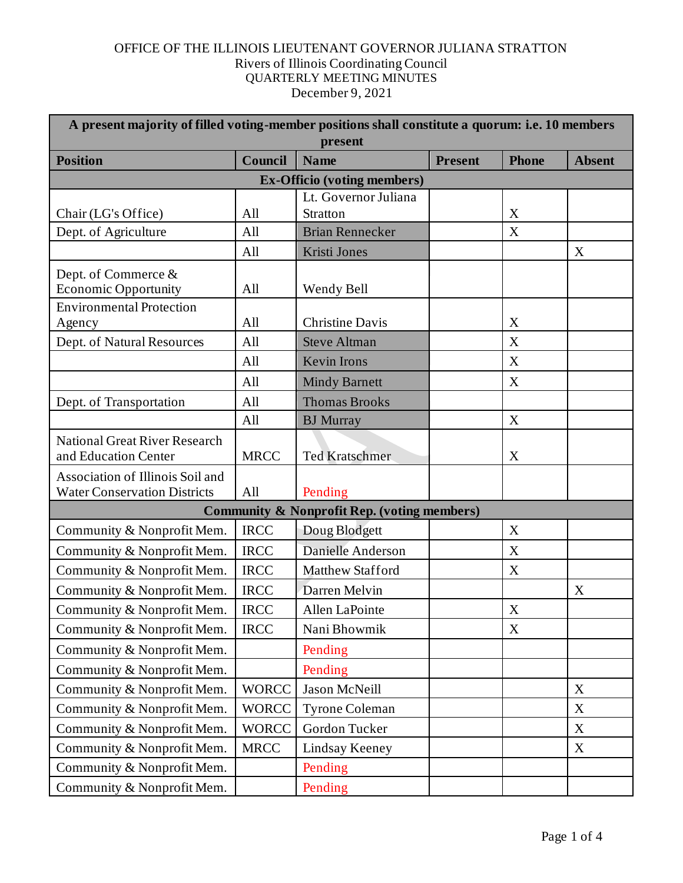| A present majority of filled voting-member positions shall constitute a quorum: i.e. 10 members<br>present |              |                         |                |                           |               |  |  |  |
|------------------------------------------------------------------------------------------------------------|--------------|-------------------------|----------------|---------------------------|---------------|--|--|--|
| <b>Position</b>                                                                                            | Council      | <b>Name</b>             | <b>Present</b> | <b>Phone</b>              | <b>Absent</b> |  |  |  |
| <b>Ex-Officio (voting members)</b>                                                                         |              |                         |                |                           |               |  |  |  |
|                                                                                                            |              | Lt. Governor Juliana    |                |                           |               |  |  |  |
| Chair (LG's Office)                                                                                        | All          | <b>Stratton</b>         |                | X                         |               |  |  |  |
| Dept. of Agriculture                                                                                       | All          | <b>Brian Rennecker</b>  |                | X                         |               |  |  |  |
|                                                                                                            | All          | Kristi Jones            |                |                           | X             |  |  |  |
| Dept. of Commerce &<br><b>Economic Opportunity</b>                                                         | All          | Wendy Bell              |                |                           |               |  |  |  |
| <b>Environmental Protection</b>                                                                            |              |                         |                |                           |               |  |  |  |
| Agency                                                                                                     | All          | <b>Christine Davis</b>  |                | X                         |               |  |  |  |
| Dept. of Natural Resources                                                                                 | All          | <b>Steve Altman</b>     |                | X                         |               |  |  |  |
|                                                                                                            | All          | <b>Kevin Irons</b>      |                | X                         |               |  |  |  |
|                                                                                                            | All          | <b>Mindy Barnett</b>    |                | X                         |               |  |  |  |
| Dept. of Transportation                                                                                    | All          | <b>Thomas Brooks</b>    |                |                           |               |  |  |  |
|                                                                                                            | All          | <b>BJ</b> Murray        |                | X                         |               |  |  |  |
| <b>National Great River Research</b><br>and Education Center                                               | <b>MRCC</b>  | <b>Ted Kratschmer</b>   |                | $\mathbf X$               |               |  |  |  |
| Association of Illinois Soil and                                                                           |              |                         |                |                           |               |  |  |  |
| <b>Water Conservation Districts</b>                                                                        | All          | Pending                 |                |                           |               |  |  |  |
| <b>Community &amp; Nonprofit Rep. (voting members)</b>                                                     |              |                         |                |                           |               |  |  |  |
| Community & Nonprofit Mem.                                                                                 | <b>IRCC</b>  | Doug Blodgett           |                | X                         |               |  |  |  |
| Community & Nonprofit Mem.                                                                                 | <b>IRCC</b>  | Danielle Anderson       |                | X                         |               |  |  |  |
| Community & Nonprofit Mem.                                                                                 | <b>IRCC</b>  | <b>Matthew Stafford</b> |                | X                         |               |  |  |  |
| Community & Nonprofit Mem.                                                                                 | <b>IRCC</b>  | Darren Melvin           |                |                           | X             |  |  |  |
| Community & Nonprofit Mem.                                                                                 | <b>IRCC</b>  | Allen LaPointe          |                | X                         |               |  |  |  |
| Community & Nonprofit Mem.                                                                                 | <b>IRCC</b>  | Nani Bhowmik            |                | $\boldsymbol{\mathrm{X}}$ |               |  |  |  |
| Community & Nonprofit Mem.                                                                                 |              | Pending                 |                |                           |               |  |  |  |
| Community & Nonprofit Mem.                                                                                 |              | Pending                 |                |                           |               |  |  |  |
| Community & Nonprofit Mem.                                                                                 | <b>WORCC</b> | Jason McNeill           |                |                           | X             |  |  |  |
| Community & Nonprofit Mem.                                                                                 | <b>WORCC</b> | Tyrone Coleman          |                |                           | X             |  |  |  |
| Community & Nonprofit Mem.                                                                                 | <b>WORCC</b> | Gordon Tucker           |                |                           | X             |  |  |  |
| Community & Nonprofit Mem.                                                                                 | <b>MRCC</b>  | Lindsay Keeney          |                |                           | $\mathbf X$   |  |  |  |
| Community & Nonprofit Mem.                                                                                 |              | Pending                 |                |                           |               |  |  |  |
| Community & Nonprofit Mem.                                                                                 |              | Pending                 |                |                           |               |  |  |  |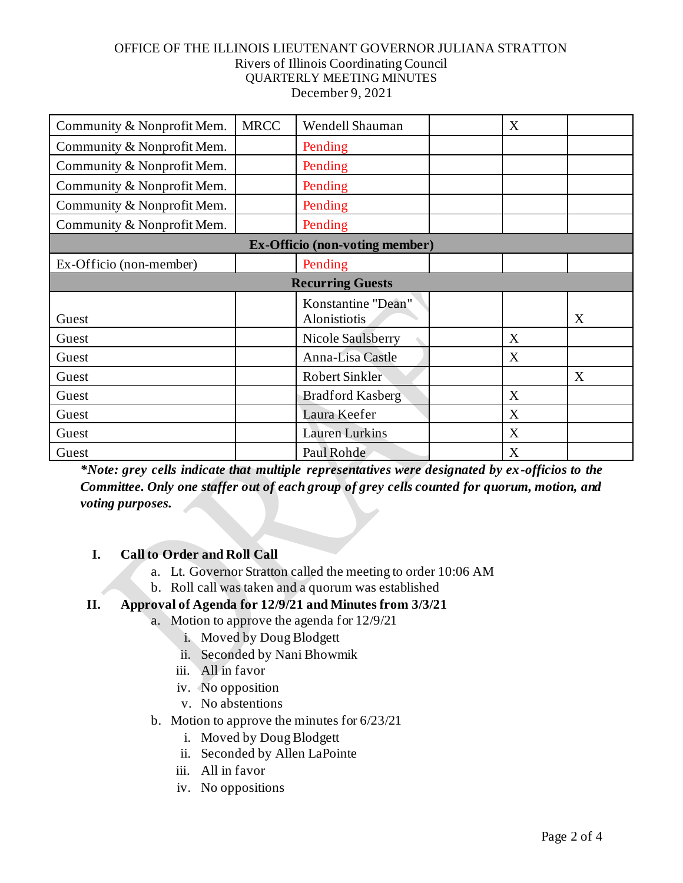| Community & Nonprofit Mem.            | <b>MRCC</b> | Wendell Shauman                    |  | X |   |  |  |  |
|---------------------------------------|-------------|------------------------------------|--|---|---|--|--|--|
| Community & Nonprofit Mem.            |             | Pending                            |  |   |   |  |  |  |
| Community & Nonprofit Mem.            |             | Pending                            |  |   |   |  |  |  |
| Community & Nonprofit Mem.            |             | Pending                            |  |   |   |  |  |  |
| Community & Nonprofit Mem.            |             | Pending                            |  |   |   |  |  |  |
| Community & Nonprofit Mem.            |             | Pending                            |  |   |   |  |  |  |
| <b>Ex-Officio (non-voting member)</b> |             |                                    |  |   |   |  |  |  |
| Ex-Officio (non-member)               |             | Pending                            |  |   |   |  |  |  |
| <b>Recurring Guests</b>               |             |                                    |  |   |   |  |  |  |
| Guest                                 |             | Konstantine "Dean"<br>Alonistiotis |  |   | X |  |  |  |
| Guest                                 |             | <b>Nicole Saulsberry</b>           |  | X |   |  |  |  |
| Guest                                 |             | Anna-Lisa Castle                   |  | X |   |  |  |  |
| Guest                                 |             | <b>Robert Sinkler</b>              |  |   | X |  |  |  |
| Guest                                 |             | <b>Bradford Kasberg</b>            |  | X |   |  |  |  |
| Guest                                 |             | Laura Keefer                       |  | X |   |  |  |  |
| Guest                                 |             | <b>Lauren Lurkins</b>              |  | X |   |  |  |  |
| Guest                                 |             | Paul Rohde                         |  | X |   |  |  |  |

*\*Note: grey cells indicate that multiple representatives were designated by ex-officios to the Committee. Only one staffer out of each group of grey cells counted for quorum, motion, and voting purposes.*

## **I. Call to Order and Roll Call**

- a. Lt. Governor Stratton called the meeting to order 10:06 AM
- b. Roll call was taken and a quorum was established

# **II. Approval of Agenda for 12/9/21 and Minutes from 3/3/21**

- a. Motion to approve the agenda for 12/9/21
	- i. Moved by Doug Blodgett
	- ii. Seconded by Nani Bhowmik
	- iii. All in favor
	- iv. No opposition
	- v. No abstentions
- b. Motion to approve the minutes for 6/23/21
	- i. Moved by Doug Blodgett
	- ii. Seconded by Allen LaPointe
	- iii. All in favor
	- iv. No oppositions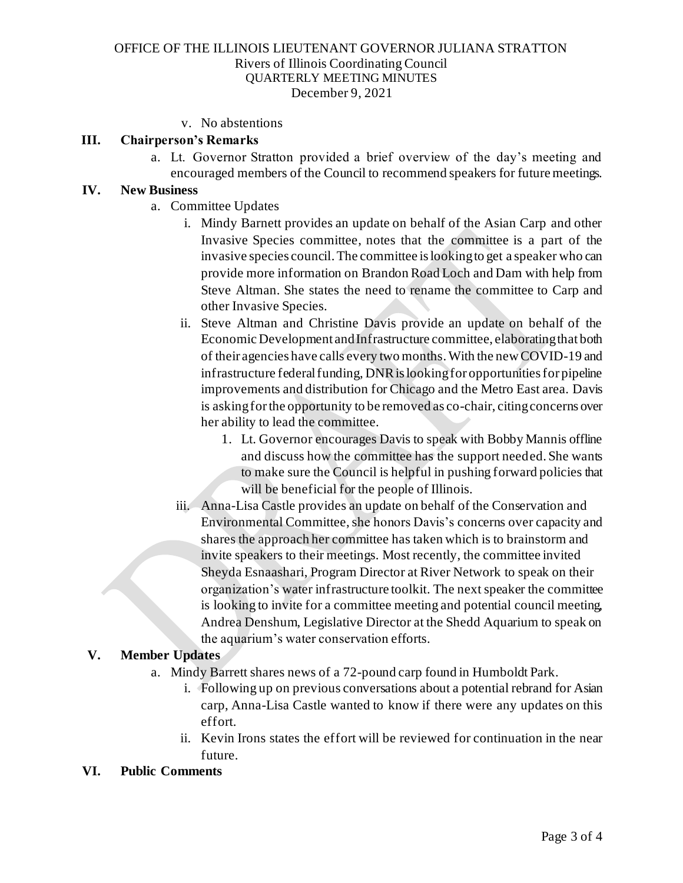#### v. No abstentions

#### **III. Chairperson's Remarks**

a. Lt. Governor Stratton provided a brief overview of the day's meeting and encouraged members of the Council to recommend speakers for future meetings.

#### **IV. New Business**

- a. Committee Updates
	- i. Mindy Barnett provides an update on behalf of the Asian Carp and other Invasive Species committee, notes that the committee is a part of the invasive species council. The committee is looking to get a speaker who can provide more information on Brandon Road Loch and Dam with help from Steve Altman. She states the need to rename the committee to Carp and other Invasive Species.
	- ii. Steve Altman and Christine Davis provide an update on behalf of the Economic Development and Infrastructure committee, elaborating that both of their agencies have calls every two months. With the new COVID-19 and infrastructure federal funding, DNR is looking for opportunities for pipeline improvements and distribution for Chicago and the Metro East area. Davis is asking for the opportunity to be removed as co-chair, citing concerns over her ability to lead the committee.
		- 1. Lt. Governor encourages Davis to speak with Bobby Mannis offline and discuss how the committee has the support needed. She wants to make sure the Council is helpful in pushing forward policies that will be beneficial for the people of Illinois.
	- iii. Anna-Lisa Castle provides an update on behalf of the Conservation and Environmental Committee, she honors Davis's concerns over capacity and shares the approach her committee has taken which is to brainstorm and invite speakers to their meetings. Most recently, the committee invited Sheyda Esnaashari, Program Director at River Network to speak on their organization's water infrastructure toolkit. The next speaker the committee is looking to invite for a committee meeting and potential council meeting, Andrea Denshum, Legislative Director at the Shedd Aquarium to speak on the aquarium's water conservation efforts.

#### **V. Member Updates**

- a. Mindy Barrett shares news of a 72-pound carp found in Humboldt Park.
	- i. Following up on previous conversations about a potential rebrand for Asian carp, Anna-Lisa Castle wanted to know if there were any updates on this effort.
	- ii. Kevin Irons states the effort will be reviewed for continuation in the near future.

#### **VI. Public Comments**